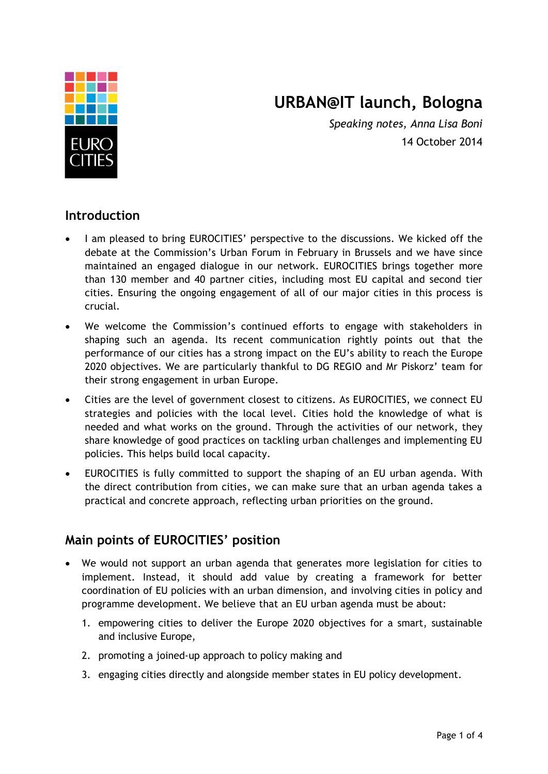

# **URBAN@IT launch, Bologna**

*Speaking notes, Anna Lisa Boni* 14 October 2014

#### **Introduction**

- I am pleased to bring EUROCITIES' perspective to the discussions. We kicked off the debate at the Commission's Urban Forum in February in Brussels and we have since maintained an engaged dialogue in our network. EUROCITIES brings together more than 130 member and 40 partner cities, including most EU capital and second tier cities. Ensuring the ongoing engagement of all of our major cities in this process is crucial.
- We welcome the Commission's continued efforts to engage with stakeholders in shaping such an agenda. Its recent communication rightly points out that the performance of our cities has a strong impact on the EU's ability to reach the Europe 2020 objectives. We are particularly thankful to DG REGIO and Mr Piskorz' team for their strong engagement in urban Europe.
- Cities are the level of government closest to citizens. As EUROCITIES, we connect EU strategies and policies with the local level. Cities hold the knowledge of what is needed and what works on the ground. Through the activities of our network, they share knowledge of good practices on tackling urban challenges and implementing EU policies. This helps build local capacity.
- EUROCITIES is fully committed to support the shaping of an EU urban agenda. With the direct contribution from cities, we can make sure that an urban agenda takes a practical and concrete approach, reflecting urban priorities on the ground.

## **Main points of EUROCITIES' position**

- We would not support an urban agenda that generates more legislation for cities to implement. Instead, it should add value by creating a framework for better coordination of EU policies with an urban dimension, and involving cities in policy and programme development. We believe that an EU urban agenda must be about:
	- 1. empowering cities to deliver the Europe 2020 objectives for a smart, sustainable and inclusive Europe,
	- 2. promoting a joined-up approach to policy making and
	- 3. engaging cities directly and alongside member states in EU policy development.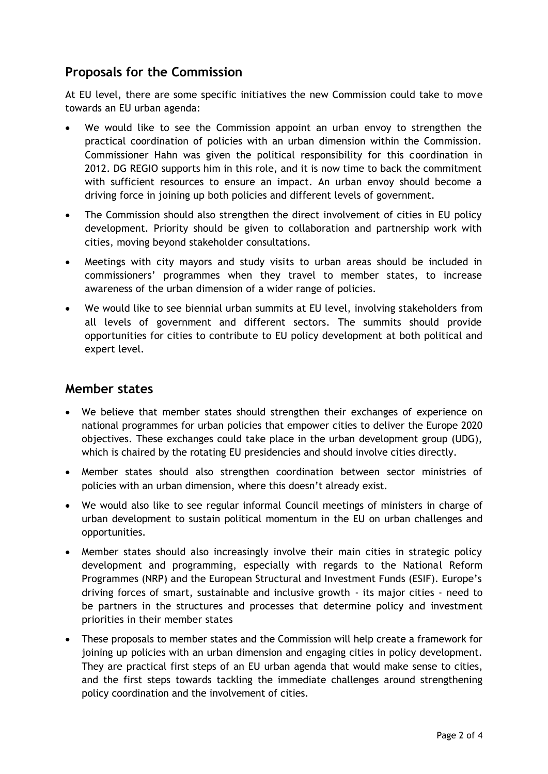## **Proposals for the Commission**

At EU level, there are some specific initiatives the new Commission could take to move towards an EU urban agenda:

- We would like to see the Commission appoint an urban envoy to strengthen the practical coordination of policies with an urban dimension within the Commission. Commissioner Hahn was given the political responsibility for this coordination in 2012. DG REGIO supports him in this role, and it is now time to back the commitment with sufficient resources to ensure an impact. An urban envoy should become a driving force in joining up both policies and different levels of government.
- The Commission should also strengthen the direct involvement of cities in EU policy development. Priority should be given to collaboration and partnership work with cities, moving beyond stakeholder consultations.
- Meetings with city mayors and study visits to urban areas should be included in commissioners' programmes when they travel to member states, to increase awareness of the urban dimension of a wider range of policies.
- We would like to see biennial urban summits at EU level, involving stakeholders from all levels of government and different sectors. The summits should provide opportunities for cities to contribute to EU policy development at both political and expert level.

#### **Member states**

- We believe that member states should strengthen their exchanges of experience on national programmes for urban policies that empower cities to deliver the Europe 2020 objectives. These exchanges could take place in the urban development group (UDG), which is chaired by the rotating EU presidencies and should involve cities directly.
- Member states should also strengthen coordination between sector ministries of policies with an urban dimension, where this doesn't already exist.
- We would also like to see regular informal Council meetings of ministers in charge of urban development to sustain political momentum in the EU on urban challenges and opportunities.
- Member states should also increasingly involve their main cities in strategic policy development and programming, especially with regards to the National Reform Programmes (NRP) and the European Structural and Investment Funds (ESIF). Europe's driving forces of smart, sustainable and inclusive growth - its major cities - need to be partners in the structures and processes that determine policy and investment priorities in their member states
- These proposals to member states and the Commission will help create a framework for joining up policies with an urban dimension and engaging cities in policy development. They are practical first steps of an EU urban agenda that would make sense to cities, and the first steps towards tackling the immediate challenges around strengthening policy coordination and the involvement of cities.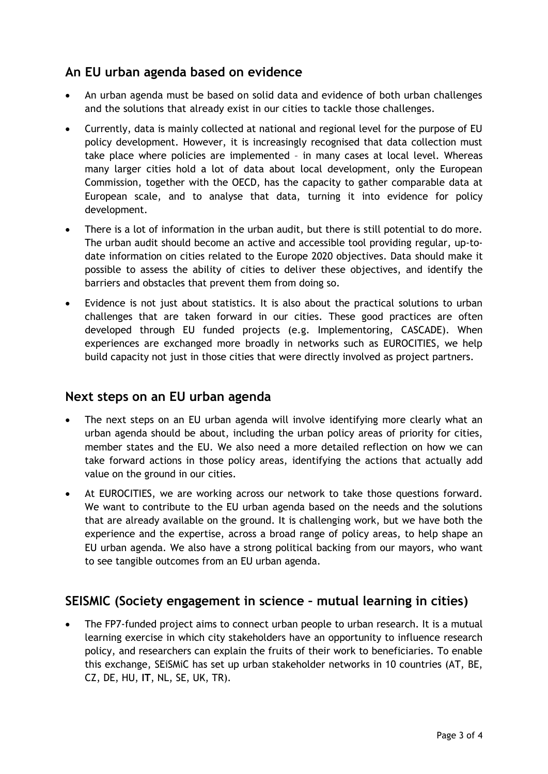## **An EU urban agenda based on evidence**

- An urban agenda must be based on solid data and evidence of both urban challenges and the solutions that already exist in our cities to tackle those challenges.
- Currently, data is mainly collected at national and regional level for the purpose of EU policy development. However, it is increasingly recognised that data collection must take place where policies are implemented – in many cases at local level. Whereas many larger cities hold a lot of data about local development, only the European Commission, together with the OECD, has the capacity to gather comparable data at European scale, and to analyse that data, turning it into evidence for policy development.
- There is a lot of information in the urban audit, but there is still potential to do more. The urban audit should become an active and accessible tool providing regular, up-todate information on cities related to the Europe 2020 objectives. Data should make it possible to assess the ability of cities to deliver these objectives, and identify the barriers and obstacles that prevent them from doing so.
- Evidence is not just about statistics. It is also about the practical solutions to urban challenges that are taken forward in our cities. These good practices are often developed through EU funded projects (e.g. Implementoring, CASCADE). When experiences are exchanged more broadly in networks such as EUROCITIES, we help build capacity not just in those cities that were directly involved as project partners.

#### **Next steps on an EU urban agenda**

- The next steps on an EU urban agenda will involve identifying more clearly what an urban agenda should be about, including the urban policy areas of priority for cities, member states and the EU. We also need a more detailed reflection on how we can take forward actions in those policy areas, identifying the actions that actually add value on the ground in our cities.
- At EUROCITIES, we are working across our network to take those questions forward. We want to contribute to the EU urban agenda based on the needs and the solutions that are already available on the ground. It is challenging work, but we have both the experience and the expertise, across a broad range of policy areas, to help shape an EU urban agenda. We also have a strong political backing from our mayors, who want to see tangible outcomes from an EU urban agenda.

## **SEISMIC (Society engagement in science – mutual learning in cities)**

• The FP7-funded project aims to connect urban people to urban research. It is a mutual learning exercise in which city stakeholders have an opportunity to influence research policy, and researchers can explain the fruits of their work to beneficiaries. To enable this exchange, SEiSMiC has set up urban stakeholder networks in 10 countries (AT, BE, CZ, DE, HU, **IT**, NL, SE, UK, TR).